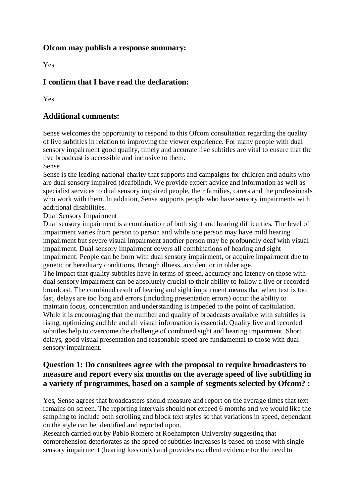#### **Ofcom may publish a response summary:**

Yes

# **I confirm that I have read the declaration:**

Yes

## **Additional comments:**

Sense welcomes the opportunity to respond to this Ofcom consultation regarding the quality of live subtitles in relation to improving the viewer experience. For many people with dual sensory impairment good quality, timely and accurate live subtitles are vital to ensure that the live broadcast is accessible and inclusive to them.

Sense

Sense is the leading national charity that supports and campaigns for children and adults who are dual sensory impaired (deafblind). We provide expert advice and information as well as specialist services to dual sensory impaired people, their families, carers and the professionals who work with them. In addition, Sense supports people who have sensory impairments with additional disabilities.

Dual Sensory Impairment

Dual sensory impairment is a combination of both sight and hearing difficulties. The level of impairment varies from person to person and while one person may have mild hearing impairment but severe visual impairment another person may be profoundly deaf with visual impairment. Dual sensory impairment covers all combinations of hearing and sight impairment. People can be born with dual sensory impairment, or acquire impairment due to genetic or hereditary conditions, through illness, accident or in older age.

The impact that quality subtitles have in terms of speed, accuracy and latency on those with dual sensory impairment can be absolutely crucial to their ability to follow a live or recorded broadcast. The combined result of hearing and sight impairment means that when text is too fast, delays are too long and errors (including presentation errors) occur the ability to maintain focus, concentration and understanding is impeded to the point of capitulation. While it is encouraging that the number and quality of broadcasts available with subtitles is rising, optimizing audible and all visual information is essential. Quality live and recorded subtitles help to overcome the challenge of combined sight and hearing impairment. Short delays, good visual presentation and reasonable speed are fundamental to those with dual sensory impairment.

### **Question 1: Do consultees agree with the proposal to require broadcasters to measure and report every six months on the average speed of live subtitling in a variety of programmes, based on a sample of segments selected by Ofcom? :**

Yes, Sense agrees that broadcasters should measure and report on the average times that text remains on screen. The reporting intervals should not exceed 6 months and we would like the sampling to include both scrolling and block text styles so that variations in speed, dependant on the style can be identified and reported upon.

Research carried out by Pablo Romero at Roehampton University suggesting that comprehension deteriorates as the speed of subtitles increases is based on those with single sensory impairment (hearing loss only) and provides excellent evidence for the need to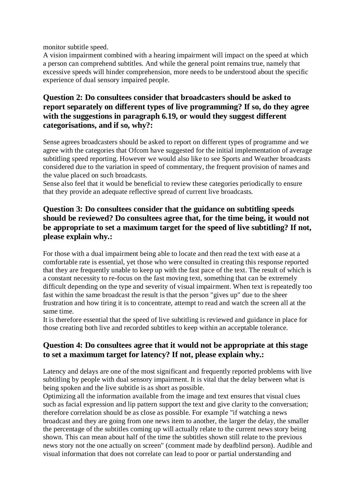monitor subtitle speed.

A vision impairment combined with a hearing impairment will impact on the speed at which a person can comprehend subtitles. And while the general point remains true, namely that excessive speeds will hinder comprehension, more needs to be understood about the specific experience of dual sensory impaired people.

# **Question 2: Do consultees consider that broadcasters should be asked to report separately on different types of live programming? If so, do they agree with the suggestions in paragraph 6.19, or would they suggest different categorisations, and if so, why?:**

Sense agrees broadcasters should be asked to report on different types of programme and we agree with the categories that Ofcom have suggested for the initial implementation of average subtitling speed reporting. However we would also like to see Sports and Weather broadcasts considered due to the variation in speed of commentary, the frequent provision of names and the value placed on such broadcasts.

Sense also feel that it would be beneficial to review these categories periodically to ensure that they provide an adequate reflective spread of current live broadcasts.

# **Question 3: Do consultees consider that the guidance on subtitling speeds should be reviewed? Do consultees agree that, for the time being, it would not be appropriate to set a maximum target for the speed of live subtitling? If not, please explain why.:**

For those with a dual impairment being able to locate and then read the text with ease at a comfortable rate is essential, yet those who were consulted in creating this response reported that they are frequently unable to keep up with the fast pace of the text. The result of which is a constant necessity to re-focus on the fast moving text, something that can be extremely difficult depending on the type and severity of visual impairment. When text is repeatedly too fast within the same broadcast the result is that the person "gives up" due to the sheer frustration and how tiring it is to concentrate, attempt to read and watch the screen all at the same time.

It is therefore essential that the speed of live subtitling is reviewed and guidance in place for those creating both live and recorded subtitles to keep within an acceptable tolerance.

#### **Question 4: Do consultees agree that it would not be appropriate at this stage to set a maximum target for latency? If not, please explain why.:**

Latency and delays are one of the most significant and frequently reported problems with live subtitling by people with dual sensory impairment. It is vital that the delay between what is being spoken and the live subtitle is as short as possible.

Optimizing all the information available from the image and text ensures that visual clues such as facial expression and lip pattern support the text and give clarity to the conversation; therefore correlation should be as close as possible. For example "if watching a news broadcast and they are going from one news item to another, the larger the delay, the smaller the percentage of the subtitles coming up will actually relate to the current news story being shown. This can mean about half of the time the subtitles shown still relate to the previous news story not the one actually on screen" (comment made by deafblind person). Audible and visual information that does not correlate can lead to poor or partial understanding and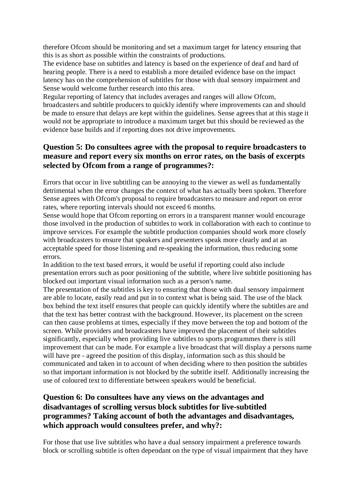therefore Ofcom should be monitoring and set a maximum target for latency ensuring that this is as short as possible within the constraints of productions.

The evidence base on subtitles and latency is based on the experience of deaf and hard of hearing people. There is a need to establish a more detailed evidence base on the impact latency has on the comprehension of subtitles for those with dual sensory impairment and Sense would welcome further research into this area.

Regular reporting of latency that includes averages and ranges will allow Ofcom, broadcasters and subtitle producers to quickly identify where improvements can and should be made to ensure that delays are kept within the guidelines. Sense agrees that at this stage it would not be appropriate to introduce a maximum target but this should be reviewed as the evidence base builds and if reporting does not drive improvements.

# **Question 5: Do consultees agree with the proposal to require broadcasters to measure and report every six months on error rates, on the basis of excerpts selected by Ofcom from a range of programmes?:**

Errors that occur in live subtitling can be annoying to the viewer as well as fundamentally detrimental when the error changes the context of what has actually been spoken. Therefore Sense agrees with Ofcom's proposal to require broadcasters to measure and report on error rates, where reporting intervals should not exceed 6 months.

Sense would hope that Ofcom reporting on errors in a transparent manner would encourage those involved in the production of subtitles to work in collaboration with each to continue to improve services. For example the subtitle production companies should work more closely with broadcasters to ensure that speakers and presenters speak more clearly and at an acceptable speed for those listening and re-speaking the information, thus reducing some errors.

In addition to the text based errors, it would be useful if reporting could also include presentation errors such as poor positioning of the subtitle, where live subtitle positioning has blocked out important visual information such as a person's name.

The presentation of the subtitles is key to ensuring that those with dual sensory impairment are able to locate, easily read and put in to context what is being said. The use of the black box behind the text itself ensures that people can quickly identify where the subtitles are and that the text has better contrast with the background. However, its placement on the screen can then cause problems at times, especially if they move between the top and bottom of the screen. While providers and broadcasters have improved the placement of their subtitles significantly, especially when providing live subtitles to sports programmes there is still improvement that can be made. For example a live broadcast that will display a persons name will have pre - agreed the position of this display, information such as this should be communicated and taken in to account of when deciding where to then position the subtitles so that important information is not blocked by the subtitle itself. Additionally increasing the use of coloured text to differentiate between speakers would be beneficial.

# **Question 6: Do consultees have any views on the advantages and disadvantages of scrolling versus block subtitles for live-subtitled programmes? Taking account of both the advantages and disadvantages, which approach would consultees prefer, and why?:**

For those that use live subtitles who have a dual sensory impairment a preference towards block or scrolling subtitle is often dependant on the type of visual impairment that they have